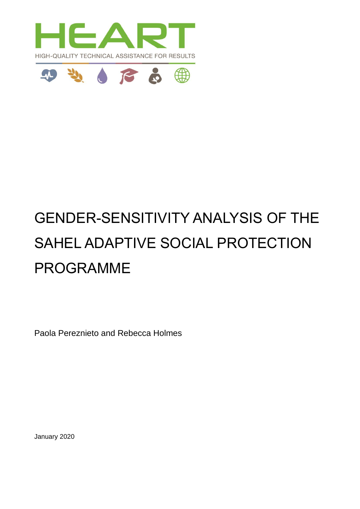



# GENDER-SENSITIVITY ANALYSIS OF THE SAHEL ADAPTIVE SOCIAL PROTECTION PROGRAMME

Paola Pereznieto and Rebecca Holmes

January 2020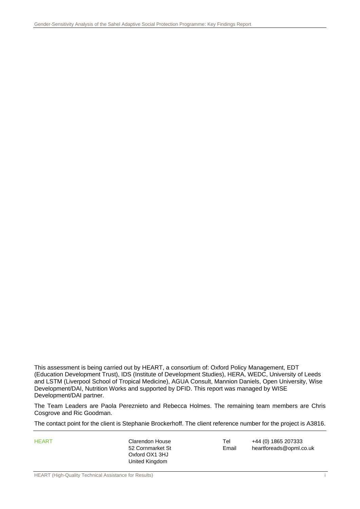This assessment is being carried out by HEART, a consortium of: Oxford Policy Management, EDT (Education Development Trust), IDS (Institute of Development Studies), HERA, WEDC, University of Leeds and LSTM (Liverpool School of Tropical Medicine), AGUA Consult, Mannion Daniels, Open University, Wise Development/DAI, Nutrition Works and supported by DFID. This report was managed by WISE Development/DAI partner.

The Team Leaders are Paola Pereznieto and Rebecca Holmes. The remaining team members are Chris Cosgrove and Ric Goodman.

The contact point for the client is Stephanie Brockerhoff. The client reference number for the project is A3816.

Oxford OX1 3HJ United Kingdom

HEART Clarendon House Tel +44 (0) 1865 207333 52 Cornmarket St Email heartforeads@opml.co.uk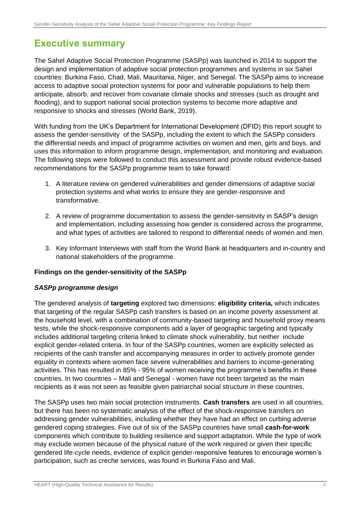# <span id="page-2-0"></span>**Executive summary**

The Sahel Adaptive Social Protection Programme (SASPp) was launched in 2014 to support the design and implementation of adaptive social protection programmes and systems in six Sahel countries: Burkina Faso, Chad, Mali, Mauritania, Niger, and Senegal. The SASPp aims to increase access to adaptive social protection systems for poor and vulnerable populations to help them anticipate, absorb, and recover from covariate climate shocks and stresses (such as drought and flooding), and to support national social protection systems to become more adaptive and responsive to shocks and stresses (World Bank, 2019).

With funding from the UK's Department for International Development (DFID) this report sought to assess the gender-sensitivity of the SASPp, including the extent to which the SASPp considers the differential needs and impact of programme activities on women and men, girls and boys, and uses this information to inform programme design, implementation, and monitoring and evaluation. The following steps were followed to conduct this assessment and provide robust evidence-based recommendations for the SASPp programme team to take forward:

- 1. A literature review on gendered vulnerabilities and gender dimensions of adaptive social protection systems and what works to ensure they are gender-responsive and transformative.
- 2. A review of programme documentation to assess the gender-sensitivity in SASP's design and implementation, including assessing how gender is considered across the programme, and what types of activities are tailored to respond to differential needs of women and men.
- 3. Key Informant Interviews with staff from the World Bank at headquarters and in-country and national stakeholders of the programme.

### **Findings on the gender-sensitivity of the SASPp**

### *SASPp programme design*

The gendered analysis of **targeting** explored two dimensions: **eligibility criteria,** which indicates that targeting of the regular SASPp cash transfers is based on an income poverty assessment at the household level, with a combination of community-based targeting and household proxy means tests, while the shock-responsive components add a layer of geographic targeting and typically includes additional targeting criteria linked to climate shock vulnerability, but neither include explicit gender-related criteria. In four of the SASPp countries, women are explicitly selected as recipients of the cash transfer and accompanying measures in order to actively promote gender equality in contexts where women face severe vulnerabilities and barriers to income-generating activities. This has resulted in 85% - 95% of women receiving the programme's benefits in these countries. In two countries – Mali and Senegal - women have not been targeted as the main recipients as it was not seen as feasible given patriarchal social structure in these countries.

The SASPp uses two main social protection instruments. **Cash transfers** are used in all countries, but there has been no systematic analysis of the effect of the shock-responsive transfers on addressing gender vulnerabilities, including whether they have had an effect on curbing adverse gendered coping strategies. Five out of six of the SASPp countries have small **cash-for-work** components which contribute to building resilience and support adaptation. While the type of work may exclude women because of the physical nature of the work required or given their specific gendered life-cycle needs, evidence of explicit gender-responsive features to encourage women's participation, such as creche services, was found in Burkina Faso and Mali.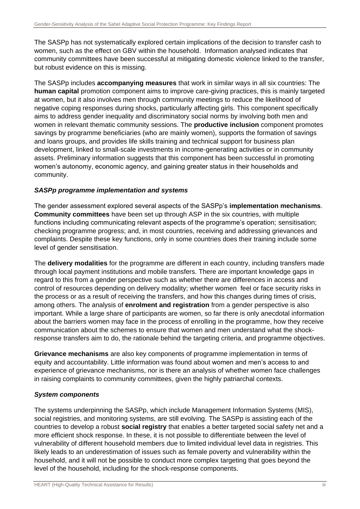The SASPp has not systematically explored certain implications of the decision to transfer cash to women, such as the effect on GBV within the household. Information analysed indicates that community committees have been successful at mitigating domestic violence linked to the transfer, but robust evidence on this is missing.

The SASPp includes **accompanying measures** that work in similar ways in all six countries: The **human capital** promotion component aims to improve care-giving practices, this is mainly targeted at women, but it also involves men through community meetings to reduce the likelihood of negative coping responses during shocks, particularly affecting girls. This component specifically aims to address gender inequality and discriminatory social norms by involving both men and women in relevant thematic community sessions. The **productive inclusion** component promotes savings by programme beneficiaries (who are mainly women), supports the formation of savings and loans groups, and provides life skills training and technical support for business plan development, linked to small-scale investments in income-generating activities or in community assets. Preliminary information suggests that this component has been successful in promoting women's autonomy, economic agency, and gaining greater status in their households and community.

### *SASPp programme implementation and systems*

The gender assessment explored several aspects of the SASPp's **implementation mechanisms**. **Community committees** have been set up through ASP in the six countries, with multiple functions including communicating relevant aspects of the programme's operation; sensitisation; checking programme progress; and, in most countries, receiving and addressing grievances and complaints. Despite these key functions, only in some countries does their training include some level of gender sensitisation.

The **delivery modalities** for the programme are different in each country, including transfers made through local payment institutions and mobile transfers. There are important knowledge gaps in regard to this from a gender perspective such as whether there are differences in access and control of resources depending on delivery modality; whether women feel or face security risks in the process or as a result of receiving the transfers, and how this changes during times of crisis, among others. The analysis of **enrolment and registration** from a gender perspective is also important. While a large share of participants are women, so far there is only anecdotal information about the barriers women may face in the process of enrolling in the programme, how they receive communication about the schemes to ensure that women and men understand what the shockresponse transfers aim to do, the rationale behind the targeting criteria, and programme objectives.

**Grievance mechanisms** are also key components of programme implementation in terms of equity and accountability. Little information was found about women and men's access to and experience of grievance mechanisms, nor is there an analysis of whether women face challenges in raising complaints to community committees, given the highly patriarchal contexts.

### *System components*

The systems underpinning the SASPp, which include Management Information Systems (MIS), social registries, and monitoring systems, are still evolving. The SASPp is assisting each of the countries to develop a robust **social registry** that enables a better targeted social safety net and a more efficient shock response. In these, it is not possible to differentiate between the level of vulnerability of different household members due to limited individual level data in registries. This likely leads to an underestimation of issues such as female poverty and vulnerability within the household, and it will not be possible to conduct more complex targeting that goes beyond the level of the household, including for the shock-response components.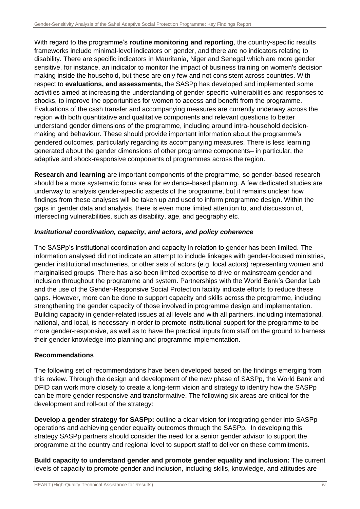With regard to the programme's **routine monitoring and reporting**, the country-specific results frameworks include minimal-level indicators on gender, and there are no indicators relating to disability. There are specific indicators in Mauritania, Niger and Senegal which are more gender sensitive, for instance, an indicator to monitor the impact of business training on women's decision making inside the household, but these are only few and not consistent across countries. With respect to **evaluations, and assessments,** the SASPp has developed and implemented some activities aimed at increasing the understanding of gender-specific vulnerabilities and responses to shocks, to improve the opportunities for women to access and benefit from the programme. Evaluations of the cash transfer and accompanying measures are currently underway across the region with both quantitative and qualitative components and relevant questions to better understand gender dimensions of the programme, including around intra-household decisionmaking and behaviour. These should provide important information about the programme's gendered outcomes, particularly regarding its accompanying measures. There is less learning generated about the gender dimensions of other programme components– in particular, the adaptive and shock-responsive components of programmes across the region.

**Research and learning** are important components of the programme, so gender-based research should be a more systematic focus area for evidence-based planning. A few dedicated studies are underway to analysis gender-specific aspects of the programme, but it remains unclear how findings from these analyses will be taken up and used to inform programme design. Within the gaps in gender data and analysis, there is even more limited attention to, and discussion of, intersecting vulnerabilities, such as disability, age, and geography etc.

### *Institutional coordination, capacity, and actors, and policy coherence*

The SASPp's institutional coordination and capacity in relation to gender has been limited. The information analysed did not indicate an attempt to include linkages with gender-focused ministries, gender institutional machineries, or other sets of actors (e.g. local actors) representing women and marginalised groups. There has also been limited expertise to drive or mainstream gender and inclusion throughout the programme and system. Partnerships with the World Bank's Gender Lab and the use of the Gender-Responsive Social Protection facility indicate efforts to reduce these gaps. However, more can be done to support capacity and skills across the programme, including strengthening the gender capacity of those involved in programme design and implementation. Building capacity in gender-related issues at all levels and with all partners, including international, national, and local, is necessary in order to promote institutional support for the programme to be more gender-responsive, as well as to have the practical inputs from staff on the ground to harness their gender knowledge into planning and programme implementation.

### **Recommendations**

The following set of recommendations have been developed based on the findings emerging from this review. Through the design and development of the new phase of SASPp, the World Bank and DFID can work more closely to create a long-term vision and strategy to identify how the SASPp can be more gender-responsive and transformative. The following six areas are critical for the development and roll-out of the strategy:

**Develop a gender strategy for SASPp:** outline a clear vision for integrating gender into SASPp operations and achieving gender equality outcomes through the SASPp. In developing this strategy SASPp partners should consider the need for a senior gender advisor to support the programme at the country and regional level to support staff to deliver on these commitments.

**Build capacity to understand gender and promote gender equality and inclusion:** The current levels of capacity to promote gender and inclusion, including skills, knowledge, and attitudes are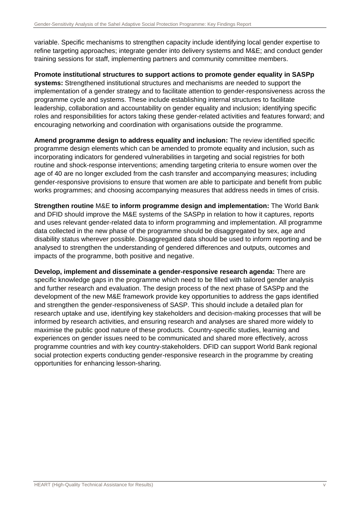variable. Specific mechanisms to strengthen capacity include identifying local gender expertise to refine targeting approaches; integrate gender into delivery systems and M&E; and conduct gender training sessions for staff, implementing partners and community committee members.

**Promote institutional structures to support actions to promote gender equality in SASPp systems:** Strengthened institutional structures and mechanisms are needed to support the implementation of a gender strategy and to facilitate attention to gender-responsiveness across the programme cycle and systems. These include establishing internal structures to facilitate leadership, collaboration and accountability on gender equality and inclusion; identifying specific roles and responsibilities for actors taking these gender-related activities and features forward; and encouraging networking and coordination with organisations outside the programme.

**Amend programme design to address equality and inclusion:** The review identified specific programme design elements which can be amended to promote equality and inclusion, such as incorporating indicators for gendered vulnerabilities in targeting and social registries for both routine and shock-response interventions; amending targeting criteria to ensure women over the age of 40 are no longer excluded from the cash transfer and accompanying measures; including gender-responsive provisions to ensure that women are able to participate and benefit from public works programmes; and choosing accompanying measures that address needs in times of crisis.

**Strengthen routine** M&E **to inform programme design and implementation:** The World Bank and DFID should improve the M&E systems of the SASPp in relation to how it captures, reports and uses relevant gender-related data to inform programming and implementation. All programme data collected in the new phase of the programme should be disaggregated by sex, age and disability status wherever possible. Disaggregated data should be used to inform reporting and be analysed to strengthen the understanding of gendered differences and outputs, outcomes and impacts of the programme, both positive and negative.

**Develop, implement and disseminate a gender-responsive research agenda:** There are specific knowledge gaps in the programme which need to be filled with tailored gender analysis and further research and evaluation. The design process of the next phase of SASPp and the development of the new M&E framework provide key opportunities to address the gaps identified and strengthen the gender-responsiveness of SASP. This should include a detailed plan for research uptake and use, identifying key stakeholders and decision-making processes that will be informed by research activities, and ensuring research and analyses are shared more widely to maximise the public good nature of these products. Country-specific studies, learning and experiences on gender issues need to be communicated and shared more effectively, across programme countries and with key country-stakeholders. DFID can support World Bank regional social protection experts conducting gender-responsive research in the programme by creating opportunities for enhancing lesson-sharing.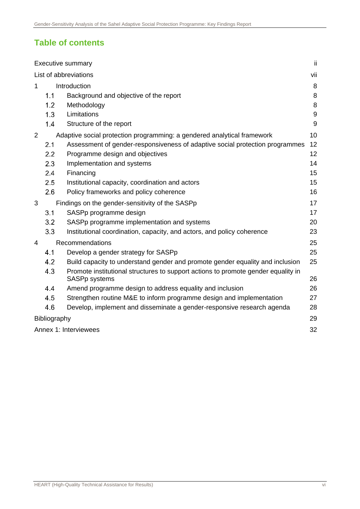## **Table of contents**

|                   | <b>Executive summary</b><br>Ϊİ. |                                                                                                    |         |  |  |  |
|-------------------|---------------------------------|----------------------------------------------------------------------------------------------------|---------|--|--|--|
|                   | List of abbreviations<br>vii    |                                                                                                    |         |  |  |  |
| Introduction<br>1 |                                 |                                                                                                    | 8       |  |  |  |
|                   | 1.1                             | Background and objective of the report                                                             | $\,8\,$ |  |  |  |
|                   | 1.2                             | Methodology                                                                                        | 8       |  |  |  |
|                   | 1.3                             | Limitations                                                                                        | $9\,$   |  |  |  |
|                   | 1.4                             | Structure of the report                                                                            | 9       |  |  |  |
| $\overline{2}$    |                                 | Adaptive social protection programming: a gendered analytical framework                            | 10      |  |  |  |
|                   | 2.1                             | Assessment of gender-responsiveness of adaptive social protection programmes                       | 12      |  |  |  |
|                   | 2.2                             | Programme design and objectives                                                                    | 12      |  |  |  |
|                   | 2.3                             | Implementation and systems                                                                         | 14      |  |  |  |
|                   | 2.4                             | Financing                                                                                          | 15      |  |  |  |
|                   | 2.5                             | Institutional capacity, coordination and actors                                                    | 15      |  |  |  |
|                   | 2.6                             | Policy frameworks and policy coherence                                                             | 16      |  |  |  |
| 3                 |                                 | Findings on the gender-sensitivity of the SASPp                                                    | 17      |  |  |  |
|                   | 3.1                             | SASPp programme design                                                                             | 17      |  |  |  |
|                   | 3.2                             | SASPp programme implementation and systems                                                         | 20      |  |  |  |
|                   | 3.3                             | Institutional coordination, capacity, and actors, and policy coherence                             | 23      |  |  |  |
| 4                 |                                 | Recommendations                                                                                    | 25      |  |  |  |
|                   | 4.1                             | Develop a gender strategy for SASPp                                                                | 25      |  |  |  |
|                   | 4.2                             | Build capacity to understand gender and promote gender equality and inclusion                      | 25      |  |  |  |
|                   | 4.3                             | Promote institutional structures to support actions to promote gender equality in<br>SASPp systems | 26      |  |  |  |
|                   | 4.4                             | Amend programme design to address equality and inclusion                                           | 26      |  |  |  |
|                   | 4.5                             | Strengthen routine M&E to inform programme design and implementation                               | 27      |  |  |  |
|                   | 4.6                             | Develop, implement and disseminate a gender-responsive research agenda                             | 28      |  |  |  |
|                   | 29<br>Bibliography              |                                                                                                    |         |  |  |  |
|                   | Annex 1: Interviewees<br>32     |                                                                                                    |         |  |  |  |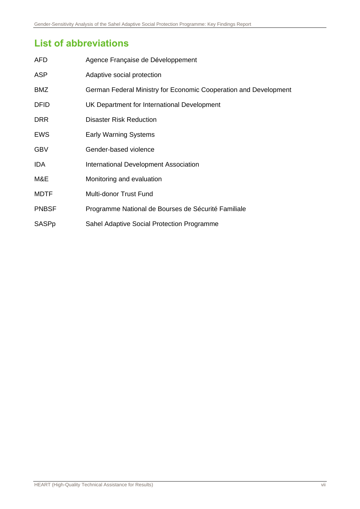# <span id="page-7-0"></span>**List of abbreviations**

| <b>AFD</b>   | Agence Française de Développement                                |
|--------------|------------------------------------------------------------------|
| <b>ASP</b>   | Adaptive social protection                                       |
| BMZ          | German Federal Ministry for Economic Cooperation and Development |
| <b>DFID</b>  | UK Department for International Development                      |
| <b>DRR</b>   | <b>Disaster Risk Reduction</b>                                   |
| <b>EWS</b>   | <b>Early Warning Systems</b>                                     |
| <b>GBV</b>   | Gender-based violence                                            |
| <b>IDA</b>   | <b>International Development Association</b>                     |
| M&E          | Monitoring and evaluation                                        |
| <b>MDTF</b>  | Multi-donor Trust Fund                                           |
| <b>PNBSF</b> | Programme National de Bourses de Sécurité Familiale              |
| SASPp        | Sahel Adaptive Social Protection Programme                       |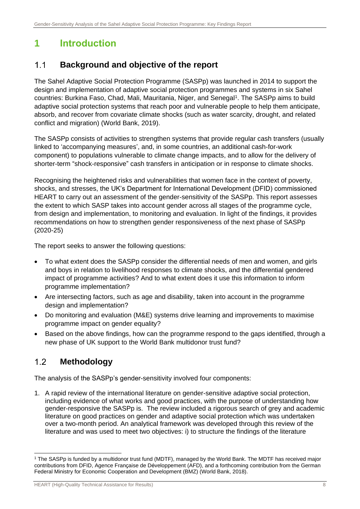# <span id="page-8-0"></span>**1 Introduction**

#### <span id="page-8-1"></span> $11$ **Background and objective of the report**

The Sahel Adaptive Social Protection Programme (SASPp) was launched in 2014 to support the design and implementation of adaptive social protection programmes and systems in six Sahel countries: Burkina Faso, Chad, Mali, Mauritania, Niger, and Senegal<sup>1</sup>. The SASPp aims to build adaptive social protection systems that reach poor and vulnerable people to help them anticipate, absorb, and recover from covariate climate shocks (such as water scarcity, drought, and related conflict and migration) (World Bank, 2019).

The SASPp consists of activities to strengthen systems that provide regular cash transfers (usually linked to 'accompanying measures', and, in some countries, an additional cash-for-work component) to populations vulnerable to climate change impacts, and to allow for the delivery of shorter-term "shock-responsive" cash transfers in anticipation or in response to climate shocks.

Recognising the heightened risks and vulnerabilities that women face in the context of poverty, shocks, and stresses, the UK's Department for International Development (DFID) commissioned HEART to carry out an assessment of the gender-sensitivity of the SASPp. This report assesses the extent to which SASP takes into account gender across all stages of the programme cycle, from design and implementation, to monitoring and evaluation. In light of the findings, it provides recommendations on how to strengthen gender responsiveness of the next phase of SASPp (2020-25)

The report seeks to answer the following questions:

- To what extent does the SASPp consider the differential needs of men and women, and girls and boys in relation to livelihood responses to climate shocks, and the differential gendered impact of programme activities? And to what extent does it use this information to inform programme implementation?
- Are intersecting factors, such as age and disability, taken into account in the programme design and implementation?
- Do monitoring and evaluation (M&E) systems drive learning and improvements to maximise programme impact on gender equality?
- Based on the above findings, how can the programme respond to the gaps identified, through a new phase of UK support to the World Bank multidonor trust fund?

#### <span id="page-8-2"></span> $12$ **Methodology**

The analysis of the SASPp's gender-sensitivity involved four components:

1. A rapid review of the international literature on gender-sensitive adaptive social protection, including evidence of what works and good practices, with the purpose of understanding how gender-responsive the SASPp is. The review included a rigorous search of grey and academic literature on good practices on gender and adaptive social protection which was undertaken over a two-month period. An analytical framework was developed through this review of the literature and was used to meet two objectives: i) to structure the findings of the literature

<sup>1</sup> The SASPp is funded by a multidonor trust fund (MDTF), managed by the World Bank. The MDTF has received major contributions from DFID, Agence Française de Développement (AFD), and a forthcoming contribution from the German Federal Ministry for Economic Cooperation and Development (BMZ) (World Bank, 2018).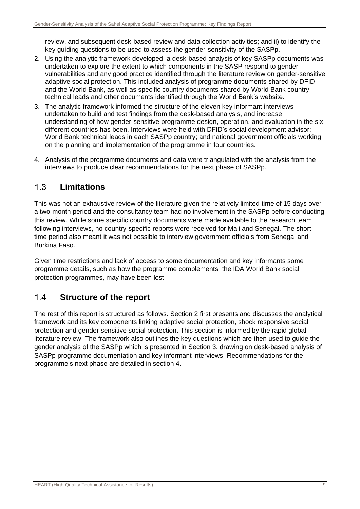review, and subsequent desk-based review and data collection activities; and ii) to identify the key guiding questions to be used to assess the gender-sensitivity of the SASPp.

- 2. Using the analytic framework developed, a desk-based analysis of key SASPp documents was undertaken to explore the extent to which components in the SASP respond to gender vulnerabilities and any good practice identified through the literature review on gender-sensitive adaptive social protection. This included analysis of programme documents shared by DFID and the World Bank, as well as specific country documents shared by World Bank country technical leads and other documents identified through the World Bank's website.
- 3. The analytic framework informed the structure of the eleven key informant interviews undertaken to build and test findings from the desk-based analysis, and increase understanding of how gender-sensitive programme design, operation, and evaluation in the six different countries has been. Interviews were held with DFID's social development advisor; World Bank technical leads in each SASPp country; and national government officials working on the planning and implementation of the programme in four countries.
- 4. Analysis of the programme documents and data were triangulated with the analysis from the interviews to produce clear recommendations for the next phase of SASPp.

#### <span id="page-9-0"></span> $1.3$ **Limitations**

This was not an exhaustive review of the literature given the relatively limited time of 15 days over a two-month period and the consultancy team had no involvement in the SASPp before conducting this review. While some specific country documents were made available to the research team following interviews, no country-specific reports were received for Mali and Senegal. The shorttime period also meant it was not possible to interview government officials from Senegal and Burkina Faso.

Given time restrictions and lack of access to some documentation and key informants some programme details, such as how the programme complements the IDA World Bank social protection programmes, may have been lost.

#### <span id="page-9-1"></span> $14$ **Structure of the report**

The rest of this report is structured as follows. Section 2 first presents and discusses the analytical framework and its key components linking adaptive social protection, shock responsive social protection and gender sensitive social protection. This section is informed by the rapid global literature review. The framework also outlines the key questions which are then used to guide the gender analysis of the SASPp which is presented in Section 3, drawing on desk-based analysis of SASPp programme documentation and key informant interviews. Recommendations for the programme's next phase are detailed in section 4.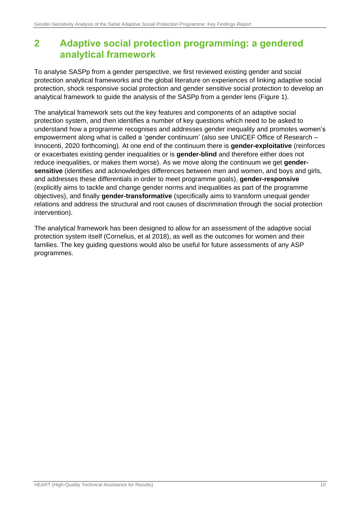# <span id="page-10-0"></span>**2 Adaptive social protection programming: a gendered analytical framework**

To analyse SASPp from a gender perspective, we first reviewed existing gender and social protection analytical frameworks and the global literature on experiences of linking adaptive social protection, shock responsive social protection and gender sensitive social protection to develop an analytical framework to guide the analysis of the SASPp from a gender lens (Figure 1).

The analytical framework sets out the key features and components of an adaptive social protection system, and then identifies a number of key questions which need to be asked to understand how a programme recognises and addresses gender inequality and promotes women's empowerment along what is called a 'gender continuum' (also see UNICEF Office of Research – Innocenti, 2020 forthcoming). At one end of the continuum there is **gender-exploitative** (reinforces or exacerbates existing gender inequalities or is **gender-blind** and therefore either does not reduce inequalities, or makes them worse). As we move along the continuum we get **gendersensitive** (identifies and acknowledges differences between men and women, and boys and girls, and addresses these differentials in order to meet programme goals), **gender-responsive** (explicitly aims to tackle and change gender norms and inequalities as part of the programme objectives), and finally **gender-transformative** (specifically aims to transform unequal gender relations and address the structural and root causes of discrimination through the social protection intervention).

The analytical framework has been designed to allow for an assessment of the adaptive social protection system itself (Cornelius, et al 2018), as well as the outcomes for women and their families. The key guiding questions would also be useful for future assessments of any ASP programmes.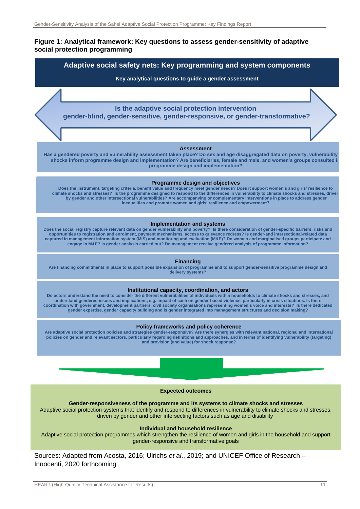#### **Figure 1: Analytical framework: Key questions to assess gender-sensitivity of adaptive social protection programming**



Sources: Adapted from Acosta, 2016; Ulrichs *et al*., 2019; and UNICEF Office of Research – Innocenti, 2020 forthcoming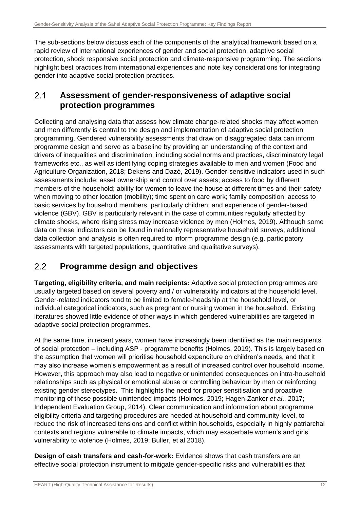The sub-sections below discuss each of the components of the analytical framework based on a rapid review of international experiences of gender and social protection, adaptive social protection, shock responsive social protection and climate-responsive programming. The sections highlight best practices from international experiences and note key considerations for integrating gender into adaptive social protection practices.

#### <span id="page-12-0"></span> $2.1$ **Assessment of gender-responsiveness of adaptive social protection programmes**

Collecting and analysing data that assess how climate change-related shocks may affect women and men differently is central to the design and implementation of adaptive social protection programming. Gendered vulnerability assessments that draw on disaggregated data can inform programme design and serve as a baseline by providing an understanding of the context and drivers of inequalities and discrimination, including social norms and practices, discriminatory legal frameworks etc., as well as identifying coping strategies available to men and women (Food and Agriculture Organization, 2018; Dekens and Dazé, 2019). Gender-sensitive indicators used in such assessments include: asset ownership and control over assets; access to food by different members of the household; ability for women to leave the house at different times and their safety when moving to other location (mobility); time spent on care work; family composition; access to basic services by household members, particularly children; and experience of gender-based violence (GBV). GBV is particularly relevant in the case of communities regularly affected by climate shocks, where rising stress may increase violence by men (Holmes, 2019). Although some data on these indicators can be found in nationally representative household surveys, additional data collection and analysis is often required to inform programme design (e.g. participatory assessments with targeted populations, quantitative and qualitative surveys).

#### <span id="page-12-1"></span> $2.2$ **Programme design and objectives**

**Targeting, eligibility criteria, and main recipients:** Adaptive social protection programmes are usually targeted based on several poverty and / or vulnerability indicators at the household level. Gender-related indicators tend to be limited to female-headship at the household level, or individual categorical indicators, such as pregnant or nursing women in the household. Existing literatures showed little evidence of other ways in which gendered vulnerabilities are targeted in adaptive social protection programmes.

At the same time, in recent years, women have increasingly been identified as the main recipients of social protection – including ASP - programme benefits (Holmes, 2019). This is largely based on the assumption that women will prioritise household expenditure on children's needs, and that it may also increase women's empowerment as a result of increased control over household income. However, this approach may also lead to negative or unintended consequences on intra-household relationships such as physical or emotional abuse or controlling behaviour by men or reinforcing existing gender stereotypes. This highlights the need for proper sensitisation and proactive monitoring of these possible unintended impacts (Holmes, 2019; Hagen-Zanker *et al*., 2017; Independent Evaluation Group, 2014). Clear communication and information about programme eligibility criteria and targeting procedures are needed at household and community-level, to reduce the risk of increased tensions and conflict within households, especially in highly patriarchal contexts and regions vulnerable to climate impacts, which may exacerbate women's and girls' vulnerability to violence (Holmes, 2019; Buller, et al 2018).

**Design of cash transfers and cash-for-work:** Evidence shows that cash transfers are an effective social protection instrument to mitigate gender-specific risks and vulnerabilities that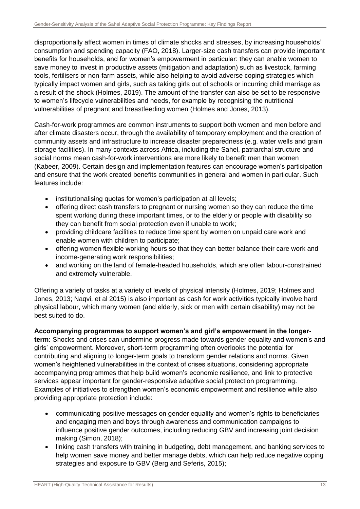disproportionally affect women in times of climate shocks and stresses, by increasing households' consumption and spending capacity (FAO, 2018). Larger-size cash transfers can provide important benefits for households, and for women's empowerment in particular: they can enable women to save money to invest in productive assets (mitigation and adaptation) such as livestock, farming tools, fertilisers or non-farm assets, while also helping to avoid adverse coping strategies which typically impact women and girls, such as taking girls out of schools or incurring child marriage as a result of the shock (Holmes, 2019). The amount of the transfer can also be set to be responsive to women's lifecycle vulnerabilities and needs, for example by recognising the nutritional vulnerabilities of pregnant and breastfeeding women (Holmes and Jones, 2013).

Cash-for-work programmes are common instruments to support both women and men before and after climate disasters occur, through the availability of temporary employment and the creation of community assets and infrastructure to increase disaster preparedness (e.g. water wells and grain storage facilities). In many contexts across Africa, including the Sahel, patriarchal structure and social norms mean cash-for-work interventions are more likely to benefit men than women (Kabeer, 2009). Certain design and implementation features can encourage women's participation and ensure that the work created benefits communities in general and women in particular. Such features include:

- institutionalising quotas for women's participation at all levels;
- offering direct cash transfers to pregnant or nursing women so they can reduce the time spent working during these important times, or to the elderly or people with disability so they can benefit from social protection even if unable to work;
- providing childcare facilities to reduce time spent by women on unpaid care work and enable women with children to participate;
- offering women flexible working hours so that they can better balance their care work and income-generating work responsibilities;
- and working on the land of female-headed households, which are often labour-constrained and extremely vulnerable.

Offering a variety of tasks at a variety of levels of physical intensity (Holmes, 2019; Holmes and Jones, 2013; Naqvi, et al 2015) is also important as cash for work activities typically involve hard physical labour, which many women (and elderly, sick or men with certain disability) may not be best suited to do.

### **Accompanying programmes to support women's and girl's empowerment in the longer-**

**term:** Shocks and crises can undermine progress made towards gender equality and women's and girls' empowerment. Moreover, short-term programming often overlooks the potential for contributing and aligning to longer-term goals to transform gender relations and norms. Given women's heightened vulnerabilities in the context of crises situations, considering appropriate accompanying programmes that help build women's economic resilience, and link to protective services appear important for gender-responsive adaptive social protection programming. Examples of initiatives to strengthen women's economic empowerment and resilience while also providing appropriate protection include:

- communicating positive messages on gender equality and women's rights to beneficiaries and engaging men and boys through awareness and communication campaigns to influence positive gender outcomes, including reducing GBV and increasing joint decision making (Simon, 2018);
- linking cash transfers with training in budgeting, debt management, and banking services to help women save money and better manage debts, which can help reduce negative coping strategies and exposure to GBV (Berg and Seferis, 2015);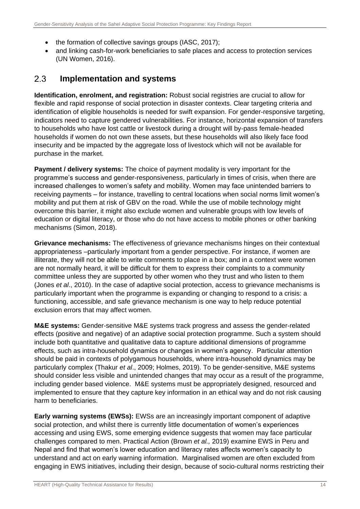- the formation of collective savings groups (IASC, 2017);
- and linking cash-for-work beneficiaries to safe places and access to protection services (UN Women, 2016).

#### <span id="page-14-0"></span> $2.3$ **Implementation and systems**

**Identification, enrolment, and registration:** Robust social registries are crucial to allow for flexible and rapid response of social protection in disaster contexts. Clear targeting criteria and identification of eligible households is needed for swift expansion. For gender-responsive targeting, indicators need to capture gendered vulnerabilities. For instance, horizontal expansion of transfers to households who have lost cattle or livestock during a drought will by-pass female-headed households if women do not own these assets, but these households will also likely face food insecurity and be impacted by the aggregate loss of livestock which will not be available for purchase in the market.

**Payment / delivery systems:** The choice of payment modality is very important for the programme's success and gender-responsiveness, particularly in times of crisis, when there are increased challenges to women's safety and mobility. Women may face unintended barriers to receiving payments – for instance, travelling to central locations when social norms limit women's mobility and put them at risk of GBV on the road. While the use of mobile technology might overcome this barrier, it might also exclude women and vulnerable groups with low levels of education or digital literacy, or those who do not have access to mobile phones or other banking mechanisms (Simon, 2018).

**Grievance mechanisms:** The effectiveness of grievance mechanisms hinges on their contextual appropriateness –particularly important from a gender perspective. For instance, if women are illiterate, they will not be able to write comments to place in a box; and in a context were women are not normally heard, it will be difficult for them to express their complaints to a community committee unless they are supported by other women who they trust and who listen to them (Jones *et al*., 2010). In the case of adaptive social protection, access to grievance mechanisms is particularly important when the programme is expanding or changing to respond to a crisis: a functioning, accessible, and safe grievance mechanism is one way to help reduce potential exclusion errors that may affect women.

**M&E systems:** Gender-sensitive M&E systems track progress and assess the gender-related effects (positive and negative) of an adaptive social protection programme. Such a system should include both quantitative and qualitative data to capture additional dimensions of programme effects, such as intra-household dynamics or changes in women's agency. Particular attention should be paid in contexts of polygamous households, where intra-household dynamics may be particularly complex (Thakur *et al*., 2009; Holmes, 2019). To be gender-sensitive, M&E systems should consider less visible and unintended changes that may occur as a result of the programme, including gender based violence. M&E systems must be appropriately designed, resourced and implemented to ensure that they capture key information in an ethical way and do not risk causing harm to beneficiaries.

**Early warning systems (EWSs):** EWSs are an increasingly important component of adaptive social protection, and whilst there is currently little documentation of women's experiences accessing and using EWS, some emerging evidence suggests that women may face particular challenges compared to men. Practical Action (Brown *et al.,* 2019) examine EWS in Peru and Nepal and find that women's lower education and literacy rates affects women's capacity to understand and act on early warning information. Marginalised women are often excluded from engaging in EWS initiatives, including their design, because of socio-cultural norms restricting their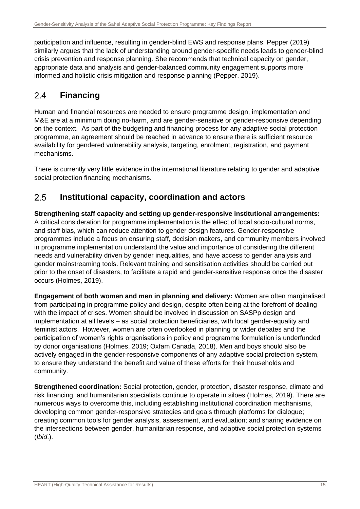participation and influence, resulting in gender-blind EWS and response plans. Pepper (2019) similarly argues that the lack of understanding around gender-specific needs leads to gender-blind crisis prevention and response planning. She recommends that technical capacity on gender, appropriate data and analysis and gender-balanced community engagement supports more informed and holistic crisis mitigation and response planning (Pepper, 2019).

#### <span id="page-15-0"></span> $2.4$ **Financing**

Human and financial resources are needed to ensure programme design, implementation and M&E are at a minimum doing no-harm, and are gender-sensitive or gender-responsive depending on the context. As part of the budgeting and financing process for any adaptive social protection programme, an agreement should be reached in advance to ensure there is sufficient resource availability for gendered vulnerability analysis, targeting, enrolment, registration, and payment mechanisms.

There is currently very little evidence in the international literature relating to gender and adaptive social protection financing mechanisms.

#### <span id="page-15-1"></span>**Institutional capacity, coordination and actors**   $2.5$

**Strengthening staff capacity and setting up gender-responsive institutional arrangements:**  A critical consideration for programme implementation is the effect of local socio-cultural norms, and staff bias, which can reduce attention to gender design features. Gender-responsive programmes include a focus on ensuring staff, decision makers, and community members involved in programme implementation understand the value and importance of considering the different needs and vulnerability driven by gender inequalities, and have access to gender analysis and gender mainstreaming tools. Relevant training and sensitisation activities should be carried out prior to the onset of disasters, to facilitate a rapid and gender-sensitive response once the disaster occurs (Holmes, 2019).

**Engagement of both women and men in planning and delivery:** Women are often marginalised from participating in programme policy and design, despite often being at the forefront of dealing with the impact of crises. Women should be involved in discussion on SASPp design and implementation at all levels – as social protection beneficiaries, with local gender-equality and feminist actors. However, women are often overlooked in planning or wider debates and the participation of women's rights organisations in policy and programme formulation is underfunded by donor organisations (Holmes, 2019; Oxfam Canada, 2018). Men and boys should also be actively engaged in the gender-responsive components of any adaptive social protection system, to ensure they understand the benefit and value of these efforts for their households and community.

**Strengthened coordination:** Social protection, gender, protection, disaster response, climate and risk financing, and humanitarian specialists continue to operate in siloes (Holmes, 2019). There are numerous ways to overcome this, including establishing institutional coordination mechanisms, developing common gender-responsive strategies and goals through platforms for dialogue; creating common tools for gender analysis, assessment, and evaluation; and sharing evidence on the intersections between gender, humanitarian response, and adaptive social protection systems (*Ibid*.).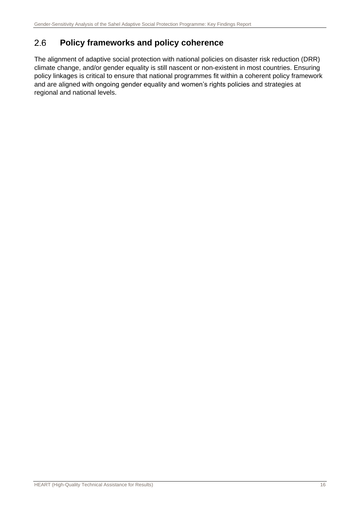#### <span id="page-16-0"></span>**Policy frameworks and policy coherence**  2.6

The alignment of adaptive social protection with national policies on disaster risk reduction (DRR) climate change, and/or gender equality is still nascent or non-existent in most countries. Ensuring policy linkages is critical to ensure that national programmes fit within a coherent policy framework and are aligned with ongoing gender equality and women's rights policies and strategies at regional and national levels.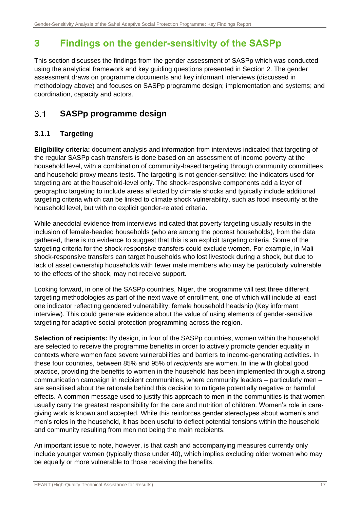# <span id="page-17-0"></span>**3 Findings on the gender-sensitivity of the SASPp**

This section discusses the findings from the gender assessment of SASPp which was conducted using the analytical framework and key guiding questions presented in Section 2. The gender assessment draws on programme documents and key informant interviews (discussed in methodology above) and focuses on SASPp programme design; implementation and systems; and coordination, capacity and actors.

#### <span id="page-17-1"></span> $3<sub>1</sub>$ **SASPp programme design**

### **3.1.1 Targeting**

**Eligibility criteria:** document analysis and information from interviews indicated that targeting of the regular SASPp cash transfers is done based on an assessment of income poverty at the household level, with a combination of community-based targeting through community committees and household proxy means tests. The targeting is not gender-sensitive: the indicators used for targeting are at the household-level only. The shock-responsive components add a layer of geographic targeting to include areas affected by climate shocks and typically include additional targeting criteria which can be linked to climate shock vulnerability, such as food insecurity at the household level, but with no explicit gender-related criteria.

While anecdotal evidence from interviews indicated that poverty targeting usually results in the inclusion of female-headed households (who are among the poorest households), from the data gathered, there is no evidence to suggest that this is an explicit targeting criteria. Some of the targeting criteria for the shock-responsive transfers could exclude women. For example, in Mali shock-responsive transfers can target households who lost livestock during a shock, but due to lack of asset ownership households with fewer male members who may be particularly vulnerable to the effects of the shock, may not receive support.

Looking forward, in one of the SASPp countries, Niger, the programme will test three different targeting methodologies as part of the next wave of enrollment, one of which will include at least one indicator reflecting gendered vulnerability: female household headship (Key informant interview). This could generate evidence about the value of using elements of gender-sensitive targeting for adaptive social protection programming across the region.

**Selection of recipients:** By design, in four of the SASPp countries, women within the household are selected to receive the programme benefits in order to actively promote gender equality in contexts where women face severe vulnerabilities and barriers to income-generating activities. In these four countries, between 85% and 95% of *recipients* are women. In line with global good practice, providing the benefits to women in the household has been implemented through a strong communication campaign in recipient communities, where community leaders – particularly men – are sensitised about the rationale behind this decision to mitigate potentially negative or harmful effects. A common message used to justify this approach to men in the communities is that women usually carry the greatest responsibility for the care and nutrition of children. Women's role in caregiving work is known and accepted. While this reinforces gender stereotypes about women's and men's roles in the household, it has been useful to deflect potential tensions within the household and community resulting from men not being the main recipients.

An important issue to note, however, is that cash and accompanying measures currently only include younger women (typically those under 40), which implies excluding older women who may be equally or more vulnerable to those receiving the benefits.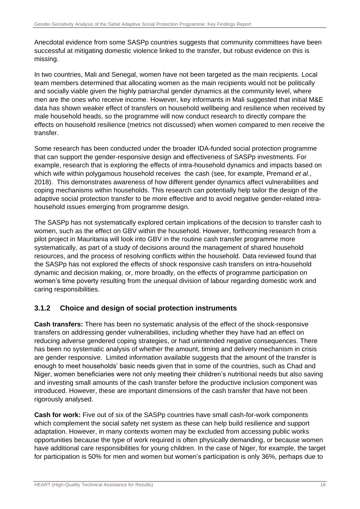Anecdotal evidence from some SASPp countries suggests that community committees have been successful at mitigating domestic violence linked to the transfer, but robust evidence on this is missing.

In two countries, Mali and Senegal, women have not been targeted as the main recipients. Local team members determined that allocating women as the main recipients would not be politically and socially viable given the highly patriarchal gender dynamics at the community level, where men are the ones who receive income. However, key informants in Mali suggested that initial M&E data has shown weaker effect of transfers on household wellbeing and resilience when received by male household heads, so the programme will now conduct research to directly compare the effects on household resilience (metrics not discussed) when women compared to men receive the transfer.

Some research has been conducted under the broader IDA-funded social protection programme that can support the gender-responsive design and effectiveness of SASPp investments. For example, research that is exploring the effects of intra-household dynamics and impacts based on which wife within polygamous household receives the cash (see, for example, Premand *et al.*, 2018). This demonstrates awareness of how different gender dynamics affect vulnerabilities and coping mechanisms within households. This research can potentially help tailor the design of the adaptive social protection transfer to be more effective and to avoid negative gender-related intrahousehold issues emerging from programme design.

The SASPp has not systematically explored certain implications of the decision to transfer cash to women, such as the effect on GBV within the household. However, forthcoming research from a pilot project in Mauritania will look into GBV in the routine cash transfer programme more systematically, as part of a study of decisions around the management of shared household resources, and the process of resolving conflicts within the household. Data reviewed found that the SASPp has not explored the effects of shock responsive cash transfers on intra-household dynamic and decision making, or, more broadly, on the effects of programme participation on women's time poverty resulting from the unequal division of labour regarding domestic work and caring responsibilities.

### **3.1.2 Choice and design of social protection instruments**

**Cash transfers:** There has been no systematic analysis of the effect of the shock-responsive transfers on addressing gender vulnerabilities, including whether they have had an effect on reducing adverse gendered coping strategies, or had unintended negative consequences. There has been no systematic analysis of whether the amount, timing and delivery mechanism in crisis are gender responsive. Limited information available suggests that the amount of the transfer is enough to meet households' basic needs given that in some of the countries, such as Chad and Niger, women beneficiaries were not only meeting their children's nutritional needs but also saving and investing small amounts of the cash transfer before the productive inclusion component was introduced. However, these are important dimensions of the cash transfer that have not been rigorously analysed.

**Cash for work:** Five out of six of the SASPp countries have small cash-for-work components which complement the social safety net system as these can help build resilience and support adaptation. However, in many contexts women may be excluded from accessing public works opportunities because the type of work required is often physically demanding, or because women have additional care responsibilities for young children. In the case of Niger, for example, the target for participation is 50% for men and women but women's participation is only 36%, perhaps due to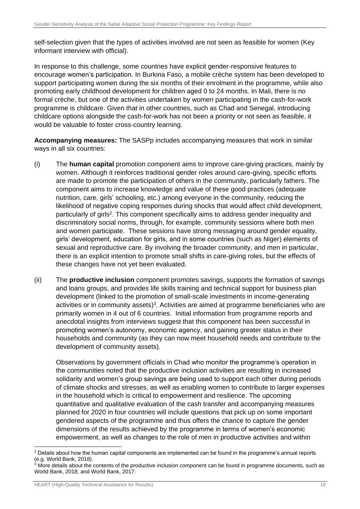self-selection given that the types of activities involved are not seen as feasible for women (Key informant interview with official).

In response to this challenge, some countries have explicit gender-responsive features to encourage women's participation. In Burkina Faso, a mobile crèche system has been developed to support participating women during the six months of their enrolment in the programme, while also promoting early childhood development for children aged 0 to 24 months. In Mali, there is no formal crèche, but one of the activities undertaken by women participating in the cash-for-work programme is childcare. Given that in other countries, such as Chad and Senegal, introducing childcare options alongside the cash-for-work has not been a priority or not seen as feasible, it would be valuable to foster cross-country learning.

**Accompanying measures:** The SASPp includes accompanying measures that work in similar ways in all six countries:

- (i) The **human capital** promotion component aims to improve care-giving practices, mainly by women. Although it reinforces traditional gender roles around care-giving, specific efforts are made to promote the participation of others in the community, particularly fathers. The component aims to increase knowledge and value of these good practices (adequate nutrition, care, girls' schooling, etc.) among everyone in the community, reducing the likelihood of negative coping responses during shocks that would affect child development, particularly of girls<sup>2</sup>. This component specifically aims to address gender inequality and discriminatory social norms, through, for example, community sessions where both men and women participate. These sessions have strong messaging around gender equality, girls' development, education for girls, and in some countries (such as Niger) elements of sexual and reproductive care. By involving the broader community, and men in particular, there is an explicit intention to promote small shifts in care-giving roles, but the effects of these changes have not yet been evaluated.
- (ii) The **productive inclusion** component promotes savings, supports the formation of savings and loans groups, and provides life skills training and technical support for business plan development (linked to the promotion of small-scale investments in income-generating activities or in community assets)<sup>3</sup>. Activities are aimed at programme beneficiaries who are primarily women in 4 out of 6 countries. Initial information from programme reports and anecdotal insights from interviews suggest that this component has been successful in promoting women's autonomy, economic agency, and gaining greater status in their households and community (as they can now meet household needs and contribute to the development of community assets).

Observations by government officials in Chad who monitor the programme's operation in the communities noted that the productive inclusion activities are resulting in increased solidarity and women's group savings are being used to support each other during periods of climate shocks and stresses, as well as enabling women to contribute to larger expenses in the household which is critical to empowerment and resilience. The upcoming quantitative and qualitative evaluation of the cash transfer and accompanying measures planned for 2020 in four countries will include questions that pick up on some important gendered aspects of the programme and thus offers the chance to capture the gender dimensions of the results achieved by the programme in terms of women's economic empowerment, as well as changes to the role of men in productive activities and within

<sup>&</sup>lt;sup>2</sup> Details about how the human capital components are implemented can be found in the programme's annual reports (e.g. World Bank, 2018).

 $3$  More details about the contents of the productive inclusion component can be found in programme documents, such as World Bank, 2018; and World Bank, 2017.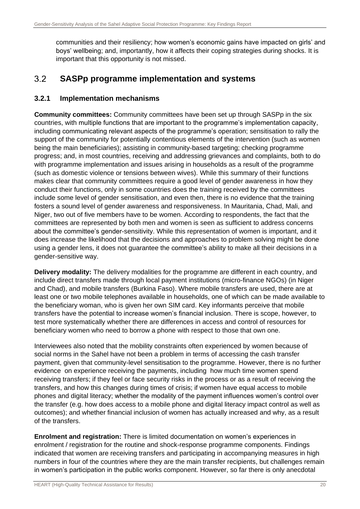communities and their resiliency; how women's economic gains have impacted on girls' and boys' wellbeing; and, importantly, how it affects their coping strategies during shocks. It is important that this opportunity is not missed.

#### <span id="page-20-0"></span> $3.2$ **SASPp programme implementation and systems**

### **3.2.1 Implementation mechanisms**

**Community committees:** Community committees have been set up through SASPp in the six countries, with multiple functions that are important to the programme's implementation capacity, including communicating relevant aspects of the programme's operation; sensitisation to rally the support of the community for potentially contentious elements of the intervention (such as women being the main beneficiaries); assisting in community-based targeting; checking programme progress; and, in most countries, receiving and addressing grievances and complaints, both to do with programme implementation and issues arising in households as a result of the programme (such as domestic violence or tensions between wives). While this summary of their functions makes clear that community committees require a good level of gender awareness in how they conduct their functions, only in some countries does the training received by the committees include some level of gender sensitisation, and even then, there is no evidence that the training fosters a sound level of gender awareness and responsiveness. In Mauritania, Chad, Mali, and Niger, two out of five members have to be women. According to respondents, the fact that the committees are represented by both men and women is seen as sufficient to address concerns about the committee's gender-sensitivity. While this representation of women is important, and it does increase the likelihood that the decisions and approaches to problem solving might be done using a gender lens, it does not guarantee the committee's ability to make all their decisions in a gender-sensitive way.

**Delivery modality:** The delivery modalities for the programme are different in each country, and include direct transfers made through local payment institutions (micro-finance NGOs) (in Niger and Chad), and mobile transfers (Burkina Faso). Where mobile transfers are used, there are at least one or two mobile telephones available in households, one of which can be made available to the beneficiary woman, who is given her own SIM card. Key informants perceive that mobile transfers have the potential to increase women's financial inclusion. There is scope, however, to test more systematically whether there are differences in access and control of resources for beneficiary women who need to borrow a phone with respect to those that own one.

Interviewees also noted that the mobility constraints often experienced by women because of social norms in the Sahel have not been a problem in terms of accessing the cash transfer payment, given that community-level sensitisation to the programme. However, there is no further evidence on experience receiving the payments, including how much time women spend receiving transfers; if they feel or face security risks in the process or as a result of receiving the transfers, and how this changes during times of crisis; if women have equal access to mobile phones and digital literacy; whether the modality of the payment influences women's control over the transfer (e.g. how does access to a mobile phone and digital literacy impact control as well as outcomes); and whether financial inclusion of women has actually increased and why, as a result of the transfers.

**Enrolment and registration:** There is limited documentation on women's experiences in enrolment / registration for the routine and shock-response programme components. Findings indicated that women are receiving transfers and participating in accompanying measures in high numbers in four of the countries where they are the main transfer recipients, but challenges remain in women's participation in the public works component. However, so far there is only anecdotal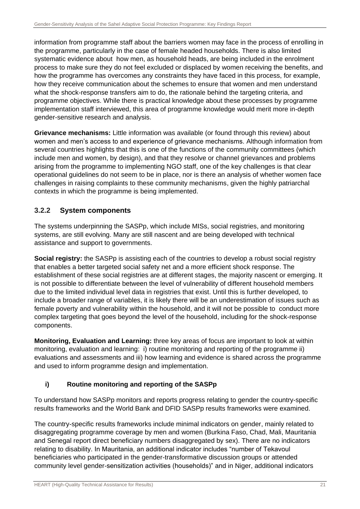information from programme staff about the barriers women may face in the process of enrolling in the programme, particularly in the case of female headed households. There is also limited systematic evidence about how men, as household heads, are being included in the enrolment process to make sure they do not feel excluded or displaced by women receiving the benefits, and how the programme has overcomes any constraints they have faced in this process, for example, how they receive communication about the schemes to ensure that women and men understand what the shock-response transfers aim to do, the rationale behind the targeting criteria, and programme objectives. While there is practical knowledge about these processes by programme implementation staff interviewed, this area of programme knowledge would merit more in-depth gender-sensitive research and analysis.

**Grievance mechanisms:** Little information was available (or found through this review) about women and men's access to and experience of grievance mechanisms. Although information from several countries highlights that this is one of the functions of the community committees (which include men and women, by design), and that they resolve or channel grievances and problems arising from the programme to implementing NGO staff, one of the key challenges is that clear operational guidelines do not seem to be in place, nor is there an analysis of whether women face challenges in raising complaints to these community mechanisms, given the highly patriarchal contexts in which the programme is being implemented.

### **3.2.2 System components**

The systems underpinning the SASPp, which include MISs, social registries, and monitoring systems, are still evolving. Many are still nascent and are being developed with technical assistance and support to governments.

**Social registry:** the SASPp is assisting each of the countries to develop a robust social registry that enables a better targeted social safety net and a more efficient shock response. The establishment of these social registries are at different stages, the majority nascent or emerging. It is not possible to differentiate between the level of vulnerability of different household members due to the limited individual level data in registries that exist. Until this is further developed, to include a broader range of variables, it is likely there will be an underestimation of issues such as female poverty and vulnerability within the household, and it will not be possible to conduct more complex targeting that goes beyond the level of the household, including for the shock-response components.

**Monitoring, Evaluation and Learning:** three key areas of focus are important to look at within monitoring, evaluation and learning: i) routine monitoring and reporting of the programme ii) evaluations and assessments and iii) how learning and evidence is shared across the programme and used to inform programme design and implementation.

### **i) Routine monitoring and reporting of the SASPp**

To understand how SASPp monitors and reports progress relating to gender the country-specific results frameworks and the World Bank and DFID SASPp results frameworks were examined.

The country-specific results frameworks include minimal indicators on gender, mainly related to disaggregating programme coverage by men and women (Burkina Faso, Chad, Mali, Mauritania and Senegal report direct beneficiary numbers disaggregated by sex). There are no indicators relating to disability. In Mauritania, an additional indicator includes "number of Tekavoul beneficiaries who participated in the gender-transformative discussion groups or attended community level gender-sensitization activities (households)" and in Niger, additional indicators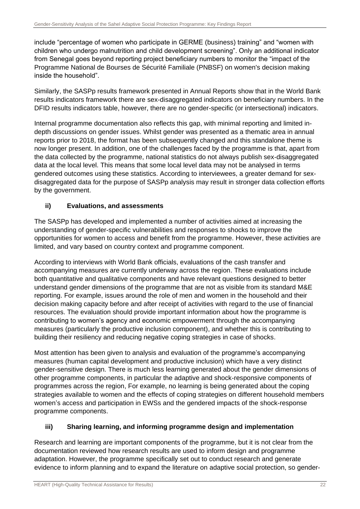include "percentage of women who participate in GERME (business) training" and "women with children who undergo malnutrition and child development screening". Only an additional indicator from Senegal goes beyond reporting project beneficiary numbers to monitor the "impact of the Programme National de Bourses de Sécurité Familiale (PNBSF) on women's decision making inside the household".

Similarly, the SASPp results framework presented in Annual Reports show that in the World Bank results indicators framework there are sex-disaggregated indicators on beneficiary numbers. In the DFID results indicators table, however, there are no gender-specific (or intersectional) indicators.

Internal programme documentation also reflects this gap, with minimal reporting and limited indepth discussions on gender issues. Whilst gender was presented as a thematic area in annual reports prior to 2018, the format has been subsequently changed and this standalone theme is now longer present. In addition, one of the challenges faced by the programme is that, apart from the data collected by the programme, national statistics do not always publish sex-disaggregated data at the local level. This means that some local level data may not be analysed in terms gendered outcomes using these statistics. According to interviewees, a greater demand for sexdisaggregated data for the purpose of SASPp analysis may result in stronger data collection efforts by the government.

### **ii) Evaluations, and assessments**

The SASPp has developed and implemented a number of activities aimed at increasing the understanding of gender-specific vulnerabilities and responses to shocks to improve the opportunities for women to access and benefit from the programme. However, these activities are limited, and vary based on country context and programme component.

According to interviews with World Bank officials, evaluations of the cash transfer and accompanying measures are currently underway across the region. These evaluations include both quantitative and qualitative components and have relevant questions designed to better understand gender dimensions of the programme that are not as visible from its standard M&E reporting. For example, issues around the role of men and women in the household and their decision making capacity before and after receipt of activities with regard to the use of financial resources. The evaluation should provide important information about how the programme is contributing to women's agency and economic empowerment through the accompanying measures (particularly the productive inclusion component), and whether this is contributing to building their resiliency and reducing negative coping strategies in case of shocks.

Most attention has been given to analysis and evaluation of the programme's accompanying measures (human capital development and productive inclusion) which have a very distinct gender-sensitive design. There is much less learning generated about the gender dimensions of other programme components, in particular the adaptive and shock-responsive components of programmes across the region, For example, no learning is being generated about the coping strategies available to women and the effects of coping strategies on different household members women's access and participation in EWSs and the gendered impacts of the shock-response programme components.

### **iii) Sharing learning, and informing programme design and implementation**

Research and learning are important components of the programme, but it is not clear from the documentation reviewed how research results are used to inform design and programme adaptation. However, the programme specifically set out to conduct research and generate evidence to inform planning and to expand the literature on adaptive social protection, so gender-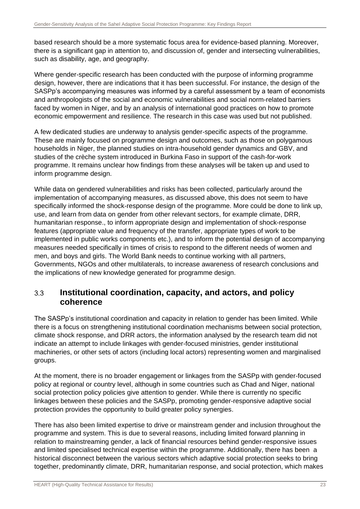based research should be a more systematic focus area for evidence-based planning. Moreover, there is a significant gap in attention to, and discussion of, gender and intersecting vulnerabilities, such as disability, age, and geography.

Where gender-specific research has been conducted with the purpose of informing programme design, however, there are indications that it has been successful. For instance, the design of the SASPp's accompanying measures was informed by a careful assessment by a team of economists and anthropologists of the social and economic vulnerabilities and social norm-related barriers faced by women in Niger, and by an analysis of international good practices on how to promote economic empowerment and resilience. The research in this case was used but not published.

A few dedicated studies are underway to analysis gender-specific aspects of the programme. These are mainly focused on programme design and outcomes, such as those on polygamous households in Niger, the planned studies on intra-household gender dynamics and GBV, and studies of the crèche system introduced in Burkina Faso in support of the cash-for-work programme. It remains unclear how findings from these analyses will be taken up and used to inform programme design.

While data on gendered vulnerabilities and risks has been collected, particularly around the implementation of accompanying measures, as discussed above, this does not seem to have specifically informed the shock-response design of the programme. More could be done to link up, use, and learn from data on gender from other relevant sectors, for example climate, DRR, humanitarian response., to inform appropriate design and implementation of shock-response features (appropriate value and frequency of the transfer, appropriate types of work to be implemented in public works components etc.), and to inform the potential design of accompanying measures needed specifically in times of crisis to respond to the different needs of women and men, and boys and girls. The World Bank needs to continue working with all partners, Governments, NGOs and other multilaterals, to increase awareness of research conclusions and the implications of new knowledge generated for programme design.

#### <span id="page-23-0"></span>**Institutional coordination, capacity, and actors, and policy**   $3.3$ **coherence**

The SASPp's institutional coordination and capacity in relation to gender has been limited. While there is a focus on strengthening institutional coordination mechanisms between social protection, climate shock response, and DRR actors, the information analysed by the research team did not indicate an attempt to include linkages with gender-focused ministries, gender institutional machineries, or other sets of actors (including local actors) representing women and marginalised groups.

At the moment, there is no broader engagement or linkages from the SASPp with gender-focused policy at regional or country level, although in some countries such as Chad and Niger, national social protection policy policies give attention to gender. While there is currently no specific linkages between these policies and the SASPp, promoting gender-responsive adaptive social protection provides the opportunity to build greater policy synergies.

There has also been limited expertise to drive or mainstream gender and inclusion throughout the programme and system. This is due to several reasons, including limited forward planning in relation to mainstreaming gender, a lack of financial resources behind gender-responsive issues and limited specialised technical expertise within the programme. Additionally, there has been a historical disconnect between the various sectors which adaptive social protection seeks to bring together, predominantly climate, DRR, humanitarian response, and social protection, which makes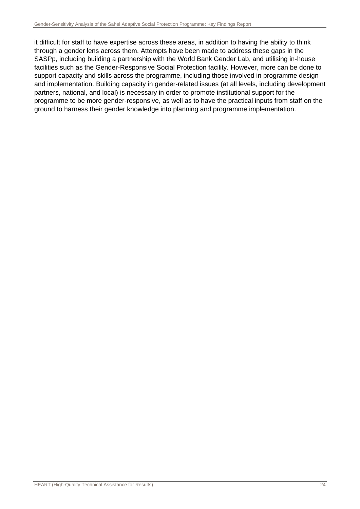it difficult for staff to have expertise across these areas, in addition to having the ability to think through a gender lens across them. Attempts have been made to address these gaps in the SASPp, including building a partnership with the World Bank Gender Lab, and utilising in-house facilities such as the Gender-Responsive Social Protection facility. However, more can be done to support capacity and skills across the programme, including those involved in programme design and implementation. Building capacity in gender-related issues (at all levels, including development partners, national, and local) is necessary in order to promote institutional support for the programme to be more gender-responsive, as well as to have the practical inputs from staff on the ground to harness their gender knowledge into planning and programme implementation.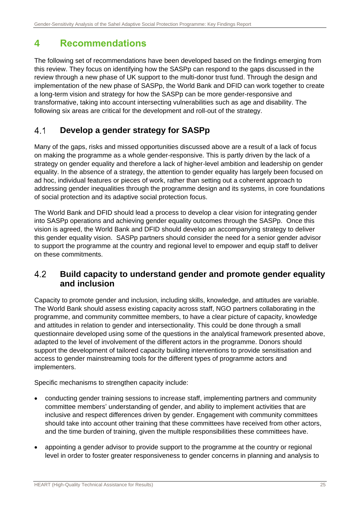# <span id="page-25-0"></span>**4 Recommendations**

The following set of recommendations have been developed based on the findings emerging from this review. They focus on identifying how the SASPp can respond to the gaps discussed in the review through a new phase of UK support to the multi-donor trust fund. Through the design and implementation of the new phase of SASPp, the World Bank and DFID can work together to create a long-term vision and strategy for how the SASPp can be more gender-responsive and transformative, taking into account intersecting vulnerabilities such as age and disability. The following six areas are critical for the development and roll-out of the strategy.

#### <span id="page-25-1"></span> $41$ **Develop a gender strategy for SASPp**

Many of the gaps, risks and missed opportunities discussed above are a result of a lack of focus on making the programme as a whole gender-responsive. This is partly driven by the lack of a strategy on gender equality and therefore a lack of higher-level ambition and leadership on gender equality. In the absence of a strategy, the attention to gender equality has largely been focused on ad hoc, individual features or pieces of work, rather than setting out a coherent approach to addressing gender inequalities through the programme design and its systems, in core foundations of social protection and its adaptive social protection focus.

The World Bank and DFID should lead a process to develop a clear vision for integrating gender into SASPp operations and achieving gender equality outcomes through the SASPp. Once this vision is agreed, the World Bank and DFID should develop an accompanying strategy to deliver this gender equality vision. SASPp partners should consider the need for a senior gender advisor to support the programme at the country and regional level to empower and equip staff to deliver on these commitments.

#### <span id="page-25-2"></span> $4.2$ **Build capacity to understand gender and promote gender equality and inclusion**

Capacity to promote gender and inclusion, including skills, knowledge, and attitudes are variable. The World Bank should assess existing capacity across staff, NGO partners collaborating in the programme, and community committee members, to have a clear picture of capacity, knowledge and attitudes in relation to gender and intersectionality. This could be done through a small questionnaire developed using some of the questions in the analytical framework presented above, adapted to the level of involvement of the different actors in the programme. Donors should support the development of tailored capacity building interventions to provide sensitisation and access to gender mainstreaming tools for the different types of programme actors and implementers.

Specific mechanisms to strengthen capacity include:

- conducting gender training sessions to increase staff, implementing partners and community committee members' understanding of gender, and ability to implement activities that are inclusive and respect differences driven by gender. Engagement with community committees should take into account other training that these committees have received from other actors, and the time burden of training, given the multiple responsibilities these committees have.
- appointing a gender advisor to provide support to the programme at the country or regional level in order to foster greater responsiveness to gender concerns in planning and analysis to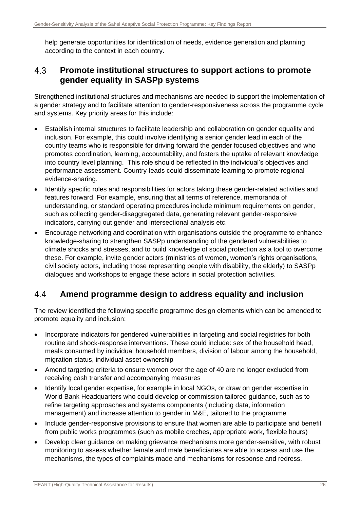help generate opportunities for identification of needs, evidence generation and planning according to the context in each country.

#### <span id="page-26-0"></span>4.3 **Promote institutional structures to support actions to promote gender equality in SASPp systems**

Strengthened institutional structures and mechanisms are needed to support the implementation of a gender strategy and to facilitate attention to gender-responsiveness across the programme cycle and systems. Key priority areas for this include:

- Establish internal structures to facilitate leadership and collaboration on gender equality and inclusion. For example, this could involve identifying a senior gender lead in each of the country teams who is responsible for driving forward the gender focused objectives and who promotes coordination, learning, accountability, and fosters the uptake of relevant knowledge into country level planning. This role should be reflected in the individual's objectives and performance assessment. Country-leads could disseminate learning to promote regional evidence-sharing.
- Identify specific roles and responsibilities for actors taking these gender-related activities and features forward. For example, ensuring that all terms of reference, memoranda of understanding, or standard operating procedures include minimum requirements on gender, such as collecting gender-disaggregated data, generating relevant gender-responsive indicators, carrying out gender and intersectional analysis etc.
- Encourage networking and coordination with organisations outside the programme to enhance knowledge-sharing to strengthen SASPp understanding of the gendered vulnerabilities to climate shocks and stresses, and to build knowledge of social protection as a tool to overcome these. For example, invite gender actors (ministries of women, women's rights organisations, civil society actors, including those representing people with disability, the elderly) to SASPp dialogues and workshops to engage these actors in social protection activities.

#### <span id="page-26-1"></span> $4.4$ **Amend programme design to address equality and inclusion**

The review identified the following specific programme design elements which can be amended to promote equality and inclusion:

- Incorporate indicators for gendered vulnerabilities in targeting and social registries for both routine and shock-response interventions. These could include: sex of the household head, meals consumed by individual household members, division of labour among the household, migration status, individual asset ownership
- Amend targeting criteria to ensure women over the age of 40 are no longer excluded from receiving cash transfer and accompanying measures
- Identify local gender expertise, for example in local NGOs, or draw on gender expertise in World Bank Headquarters who could develop or commission tailored guidance, such as to refine targeting approaches and systems components (including data, information management) and increase attention to gender in M&E, tailored to the programme
- Include gender-responsive provisions to ensure that women are able to participate and benefit from public works programmes (such as mobile creches, appropriate work, flexible hours)
- Develop clear guidance on making grievance mechanisms more gender-sensitive, with robust monitoring to assess whether female and male beneficiaries are able to access and use the mechanisms, the types of complaints made and mechanisms for response and redress.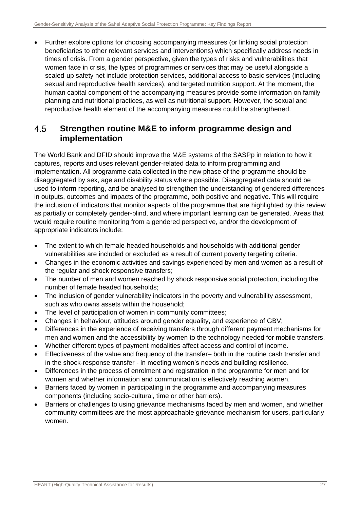• Further explore options for choosing accompanying measures (or linking social protection beneficiaries to other relevant services and interventions) which specifically address needs in times of crisis. From a gender perspective, given the types of risks and vulnerabilities that women face in crisis, the types of programmes or services that may be useful alongside a scaled-up safety net include protection services, additional access to basic services (including sexual and reproductive health services), and targeted nutrition support. At the moment, the human capital component of the accompanying measures provide some information on family planning and nutritional practices, as well as nutritional support. However, the sexual and reproductive health element of the accompanying measures could be strengthened.

#### <span id="page-27-0"></span>4.5 **Strengthen routine M&E to inform programme design and implementation**

The World Bank and DFID should improve the M&E systems of the SASPp in relation to how it captures, reports and uses relevant gender-related data to inform programming and implementation. All programme data collected in the new phase of the programme should be disaggregated by sex, age and disability status where possible. Disaggregated data should be used to inform reporting, and be analysed to strengthen the understanding of gendered differences in outputs, outcomes and impacts of the programme, both positive and negative. This will require the inclusion of indicators that monitor aspects of the programme that are highlighted by this review as partially or completely gender-blind, and where important learning can be generated. Areas that would require routine monitoring from a gendered perspective, and/or the development of appropriate indicators include:

- The extent to which female-headed households and households with additional gender vulnerabilities are included or excluded as a result of current poverty targeting criteria.
- Changes in the economic activities and savings experienced by men and women as a result of the regular and shock responsive transfers;
- The number of men and women reached by shock responsive social protection, including the number of female headed households;
- The inclusion of gender vulnerability indicators in the poverty and vulnerability assessment, such as who owns assets within the household;
- The level of participation of women in community committees;
- Changes in behaviour, attitudes around gender equality, and experience of GBV;
- Differences in the experience of receiving transfers through different payment mechanisms for men and women and the accessibility by women to the technology needed for mobile transfers.
- Whether different types of payment modalities affect access and control of income.
- Effectiveness of the value and frequency of the transfer– both in the routine cash transfer and in the shock-response transfer - in meeting women's needs and building resilience.
- Differences in the process of enrolment and registration in the programme for men and for women and whether information and communication is effectively reaching women.
- Barriers faced by women in participating in the programme and accompanying measures components (including socio-cultural, time or other barriers).
- Barriers or challenges to using grievance mechanisms faced by men and women, and whether community committees are the most approachable grievance mechanism for users, particularly women.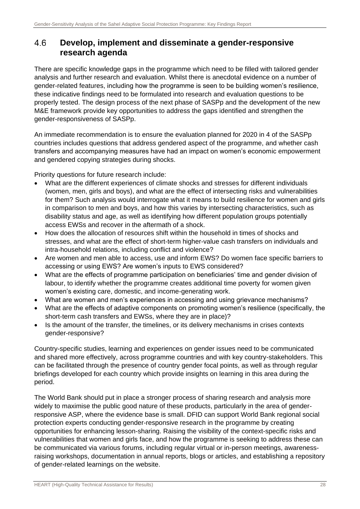#### <span id="page-28-0"></span>4.6 **Develop, implement and disseminate a gender-responsive research agenda**

There are specific knowledge gaps in the programme which need to be filled with tailored gender analysis and further research and evaluation. Whilst there is anecdotal evidence on a number of gender-related features, including how the programme is seen to be building women's resilience, these indicative findings need to be formulated into research and evaluation questions to be properly tested. The design process of the next phase of SASPp and the development of the new M&E framework provide key opportunities to address the gaps identified and strengthen the gender-responsiveness of SASPp.

An immediate recommendation is to ensure the evaluation planned for 2020 in 4 of the SASPp countries includes questions that address gendered aspect of the programme, and whether cash transfers and accompanying measures have had an impact on women's economic empowerment and gendered copying strategies during shocks.

Priority questions for future research include:

- What are the different experiences of climate shocks and stresses for different individuals (women, men, girls and boys), and what are the effect of intersecting risks and vulnerabilities for them? Such analysis would interrogate what it means to build resilience for women and girls in comparison to men and boys, and how this varies by intersecting characteristics, such as disability status and age, as well as identifying how different population groups potentially access EWSs and recover in the aftermath of a shock.
- How does the allocation of resources shift within the household in times of shocks and stresses, and what are the effect of short-term higher-value cash transfers on individuals and intra-household relations, including conflict and violence?
- Are women and men able to access, use and inform EWS? Do women face specific barriers to accessing or using EWS? Are women's inputs to EWS considered?
- What are the effects of programme participation on beneficiaries' time and gender division of labour, to identify whether the programme creates additional time poverty for women given women's existing care, domestic, and income-generating work.
- What are women and men's experiences in accessing and using grievance mechanisms?
- What are the effects of adaptive components on promoting women's resilience (specifically, the short-term cash transfers and EWSs, where they are in place)?
- Is the amount of the transfer, the timelines, or its delivery mechanisms in crises contexts gender-responsive?

Country-specific studies, learning and experiences on gender issues need to be communicated and shared more effectively, across programme countries and with key country-stakeholders. This can be facilitated through the presence of country gender focal points, as well as through regular briefings developed for each country which provide insights on learning in this area during the period.

The World Bank should put in place a stronger process of sharing research and analysis more widely to maximise the public good nature of these products, particularly in the area of genderresponsive ASP, where the evidence base is small. DFID can support World Bank regional social protection experts conducting gender-responsive research in the programme by creating opportunities for enhancing lesson-sharing. Raising the visibility of the context-specific risks and vulnerabilities that women and girls face, and how the programme is seeking to address these can be communicated via various forums, including regular virtual or in-person meetings, awarenessraising workshops, documentation in annual reports, blogs or articles, and establishing a repository of gender-related learnings on the website.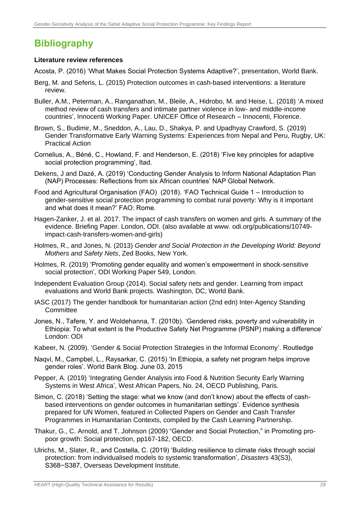# <span id="page-29-0"></span>**Bibliography**

### **Literature review references**

Acosta, P. (2016) 'What Makes Social Protection Systems Adaptive?', presentation, World Bank.

- Berg, M. and Seferis, L. (2015) Protection outcomes in cash-based interventions: a literature review.
- Buller, A.M., Peterman, A., Ranganathan, M., Bleile, A., Hidrobo, M. and Heise, L. (2018) 'A mixed method review of cash transfers and intimate partner violence in low- and middle-income countries', Innocenti Working Paper. UNICEF Office of Research – Innocenti, Florence.
- Brown, S., Budimir, M., Sneddon, A., Lau, D., Shakya, P. and Upadhyay Crawford, S. (2019) Gender Transformative Early Warning Systems: Experiences from Nepal and Peru, Rugby, UK: Practical Action
- Cornelius, A., Béné, C., Howland, F. and Henderson, E. (2018) 'Five key principles for adaptive social protection programming', Itad.
- Dekens, J and Dazé, A. (2019) 'Conducting Gender Analysis to Inform National Adaptation Plan (NAP) Processes: Reflections from six African countries' NAP Global Network.
- Food and Agricultural Organisation (FAO) (2018). 'FAO Technical Guide 1 Introduction to gender-sensitive social protection programming to combat rural poverty: Why is it important and what does it mean?' FAO: Rome.
- Hagen-Zanker, J. et al. 2017. The impact of cash transfers on women and girls. A summary of the evidence. Briefing Paper. London, ODI. (also available at www. odi.org/publications/10749 impact-cash-transfers-women-and-girls)
- Holmes, R., and Jones, N. (2013) *Gender and Social Protection in the Developing World: Beyond Mothers and Safety Nets*, Zed Books, New York.
- Holmes, R. (2019) 'Promoting gender equality and women's empowerment in shock-sensitive social protection', ODI Working Paper 549, London.
- Independent Evaluation Group (2014). Social safety nets and gender. Learning from impact evaluations and World Bank projects. Washington, DC, World Bank.
- IASC (2017) The gender handbook for humanitarian action (2nd edn) Inter-Agency Standing **Committee**
- Jones, N., Tafere, Y. and Woldehanna, T. (2010b). 'Gendered risks, poverty and vulnerability in Ethiopia: To what extent is the Productive Safety Net Programme (PSNP) making a difference' London: ODI
- Kabeer, N. (2009). 'Gender & Social Protection Strategies in the Informal Economy'. Routledge
- Naqvi, M., Campbel, L., Raysarkar, C. (2015) 'In Ethiopia, a safety net program helps improve gender roles'. World Bank Blog. June 03, 2015
- Pepper, A. (2019) 'Integrating Gender Analysis into Food & Nutrition Security Early Warning Systems in West Africa', West African Papers*,* No. 24, OECD Publishing, Paris.
- Simon, C. (2018) 'Setting the stage: what we know (and don't know) about the effects of cashbased interventions on gender outcomes in humanitarian settings'. Evidence synthesis prepared for UN Women, featured in Collected Papers on Gender and Cash Transfer Programmes in Humanitarian Contexts, compiled by the Cash Learning Partnership.
- Thakur, G., C. Arnold, and T. Johnson (2009) "Gender and Social Protection," in Promoting propoor growth: Social protection, pp167-182, OECD.
- Ulrichs, M., Slater, R., and Costella, C. (2019) 'Building resilience to climate risks through social protection: from individualised models to systemic transformation', *Disasters* 43(S3), S368−S387, Overseas Development Institute.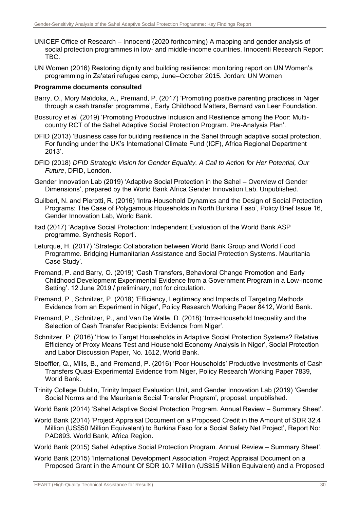- UNICEF Office of Research Innocenti (2020 forthcoming) A mapping and gender analysis of social protection programmes in low- and middle-income countries. Innocenti Research Report TBC.
- UN Women (2016) Restoring dignity and building resilience: monitoring report on UN Women's programming in Za'atari refugee camp, June–October 2015. Jordan: UN Women

### **Programme documents consulted**

- Barry, O., Mory Maïdoka, A., Premand, P. (2017) 'Promoting positive parenting practices in Niger through a cash transfer programme', Early Childhood Matters, Bernard van Leer Foundation.
- Bossuroy *et al.* (2019) 'Promoting Productive Inclusion and Resilience among the Poor: Multicountry RCT of the Sahel Adaptive Social Protection Program. Pre-Analysis Plan'.
- DFID (2013) 'Business case for building resilience in the Sahel through adaptive social protection. For funding under the UK's International Climate Fund (ICF), Africa Regional Department 2013'.
- DFID (2018) *DFID Strategic Vision for Gender Equality. A Call to Action for Her Potential, Our Future*, DFID, London.
- Gender Innovation Lab (2019) 'Adaptive Social Protection in the Sahel Overview of Gender Dimensions', prepared by the World Bank Africa Gender Innovation Lab. Unpublished.
- Guilbert, N. and Pierotti, R. (2016) 'Intra-Household Dynamics and the Design of Social Protection Programs: The Case of Polygamous Households in North Burkina Faso', Policy Brief Issue 16, Gender Innovation Lab, World Bank.
- Itad (2017) 'Adaptive Social Protection: Independent Evaluation of the World Bank ASP programme. Synthesis Report'.
- Leturque, H. (2017) 'Strategic Collaboration between World Bank Group and World Food Programme. Bridging Humanitarian Assistance and Social Protection Systems. Mauritania Case Study'.
- Premand, P. and Barry, O. (2019) 'Cash Transfers, Behavioral Change Promotion and Early Childhood Development Experimental Evidence from a Government Program in a Low-income Setting'. 12 June 2019 / preliminary, not for circulation.
- Premand, P., Schnitzer, P. (2018) 'Efficiency, Legitimacy and Impacts of Targeting Methods Evidence from an Experiment in Niger', Policy Research Working Paper 8412, World Bank.
- Premand, P., Schnitzer, P., and Van De Walle, D. (2018) 'Intra-Household Inequality and the Selection of Cash Transfer Recipients: Evidence from Niger'.
- Schnitzer, P. (2016) 'How to Target Households in Adaptive Social Protection Systems? Relative Efficiency of Proxy Means Test and Household Economy Analysis in Niger', Social Protection and Labor Discussion Paper, No. 1612, World Bank.
- Stoeffler, Q., Mills, B., and Premand, P. (2016) 'Poor Households' Productive Investments of Cash Transfers Quasi-Experimental Evidence from Niger, Policy Research Working Paper 7839, World Bank.
- Trinity College Dublin, Trinity Impact Evaluation Unit, and Gender Innovation Lab (2019) 'Gender Social Norms and the Mauritania Social Transfer Program', proposal, unpublished.
- World Bank (2014) 'Sahel Adaptive Social Protection Program. Annual Review Summary Sheet'.
- World Bank (2014) 'Project Appraisal Document on a Proposed Credit in the Amount of SDR 32.4 Million (US\$50 Million Equivalent) to Burkina Faso for a Social Safety Net Project', Report No: PAD893. World Bank, Africa Region.
- World Bank (2015) Sahel Adaptive Social Protection Program. Annual Review Summary Sheet'.
- World Bank (2015) 'International Development Association Project Appraisal Document on a Proposed Grant in the Amount Of SDR 10.7 Million (US\$15 Million Equivalent) and a Proposed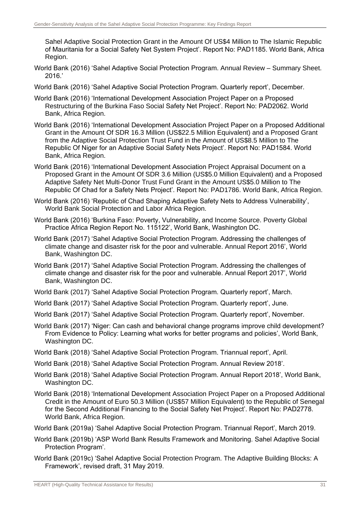Sahel Adaptive Social Protection Grant in the Amount Of US\$4 Million to The Islamic Republic of Mauritania for a Social Safety Net System Project'. Report No: PAD1185. World Bank, Africa Region.

- World Bank (2016) 'Sahel Adaptive Social Protection Program. Annual Review Summary Sheet. 2016.'
- World Bank (2016) 'Sahel Adaptive Social Protection Program. Quarterly report', December.
- World Bank (2016) 'International Development Association Project Paper on a Proposed Restructuring of the Burkina Faso Social Safety Net Project'. Report No: PAD2062. World Bank, Africa Region.
- World Bank (2016) 'International Development Association Project Paper on a Proposed Additional Grant in the Amount Of SDR 16.3 Million (US\$22.5 Million Equivalent) and a Proposed Grant from the Adaptive Social Protection Trust Fund in the Amount of US\$8.5 Million to The Republic Of Niger for an Adaptive Social Safety Nets Project'. Report No: PAD1584. World Bank, Africa Region.
- World Bank (2016) 'International Development Association Project Appraisal Document on a Proposed Grant in the Amount Of SDR 3.6 Million (US\$5.0 Million Equivalent) and a Proposed Adaptive Safety Net Multi-Donor Trust Fund Grant in the Amount US\$5.0 Million to The Republic Of Chad for a Safety Nets Project'. Report No: PAD1786. World Bank, Africa Region.
- World Bank (2016) 'Republic of Chad Shaping Adaptive Safety Nets to Address Vulnerability', World Bank Social Protection and Labor Africa Region.
- World Bank (2016) 'Burkina Faso: Poverty, Vulnerability, and Income Source. Poverty Global Practice Africa Region Report No. 115122', World Bank, Washington DC.
- World Bank (2017) 'Sahel Adaptive Social Protection Program. Addressing the challenges of climate change and disaster risk for the poor and vulnerable. Annual Report 2016', World Bank, Washington DC.
- World Bank (2017) 'Sahel Adaptive Social Protection Program. Addressing the challenges of climate change and disaster risk for the poor and vulnerable. Annual Report 2017', World Bank, Washington DC.
- World Bank (2017) 'Sahel Adaptive Social Protection Program. Quarterly report', March.
- World Bank (2017) 'Sahel Adaptive Social Protection Program. Quarterly report', June.
- World Bank (2017) 'Sahel Adaptive Social Protection Program. Quarterly report', November.
- World Bank (2017) 'Niger: Can cash and behavioral change programs improve child development? From Evidence to Policy: Learning what works for better programs and policies', World Bank, Washington DC.
- World Bank (2018) 'Sahel Adaptive Social Protection Program. Triannual report', April.
- World Bank (2018) 'Sahel Adaptive Social Protection Program. Annual Review 2018'.
- World Bank (2018) 'Sahel Adaptive Social Protection Program. Annual Report 2018', World Bank, Washington DC.
- World Bank (2018) 'International Development Association Project Paper on a Proposed Additional Credit in the Amount of Euro 50.3 Million (US\$57 Million Equivalent) to the Republic of Senegal for the Second Additional Financing to the Social Safety Net Project'. Report No: PAD2778. World Bank, Africa Region.
- World Bank (2019a) 'Sahel Adaptive Social Protection Program. Triannual Report', March 2019.
- World Bank (2019b) 'ASP World Bank Results Framework and Monitoring. Sahel Adaptive Social Protection Program'.
- World Bank (2019c) 'Sahel Adaptive Social Protection Program. The Adaptive Building Blocks: A Framework', revised draft, 31 May 2019.